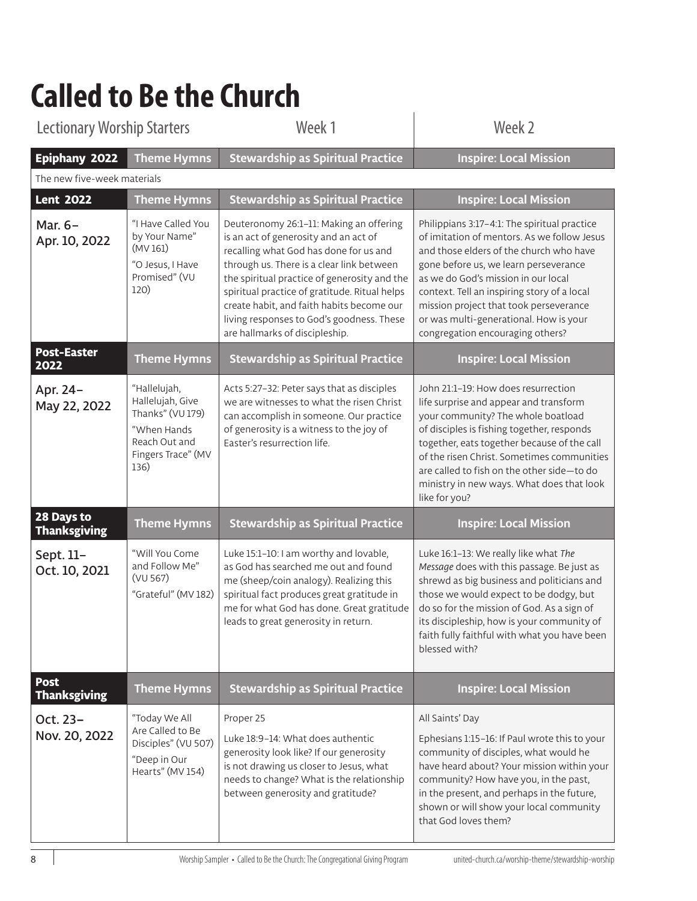## **Called to Be the Church**

| <b>Lectionary Worship Starters</b>           |                                                                                                                    | Week 1                                                                                                                                                                                                                                                                                                                                                                                               | Week 2                                                                                                                                                                                                                                                                                                                                                                                        |
|----------------------------------------------|--------------------------------------------------------------------------------------------------------------------|------------------------------------------------------------------------------------------------------------------------------------------------------------------------------------------------------------------------------------------------------------------------------------------------------------------------------------------------------------------------------------------------------|-----------------------------------------------------------------------------------------------------------------------------------------------------------------------------------------------------------------------------------------------------------------------------------------------------------------------------------------------------------------------------------------------|
| Epiphany 2022<br>The new five-week materials | <b>Theme Hymns</b>                                                                                                 | <b>Stewardship as Spiritual Practice</b>                                                                                                                                                                                                                                                                                                                                                             | <b>Inspire: Local Mission</b>                                                                                                                                                                                                                                                                                                                                                                 |
| <b>Lent 2022</b>                             | <b>Theme Hymns</b>                                                                                                 | <b>Stewardship as Spiritual Practice</b>                                                                                                                                                                                                                                                                                                                                                             | <b>Inspire: Local Mission</b>                                                                                                                                                                                                                                                                                                                                                                 |
| Mar. 6-<br>Apr. 10, 2022                     | "I Have Called You<br>by Your Name"<br>(MV 161)<br>"O Jesus, I Have<br>Promised" (VU<br>120)                       | Deuteronomy 26:1-11: Making an offering<br>is an act of generosity and an act of<br>recalling what God has done for us and<br>through us. There is a clear link between<br>the spiritual practice of generosity and the<br>spiritual practice of gratitude. Ritual helps<br>create habit, and faith habits become our<br>living responses to God's goodness. These<br>are hallmarks of discipleship. | Philippians 3:17-4:1: The spiritual practice<br>of imitation of mentors. As we follow Jesus<br>and those elders of the church who have<br>gone before us, we learn perseverance<br>as we do God's mission in our local<br>context. Tell an inspiring story of a local<br>mission project that took perseverance<br>or was multi-generational. How is your<br>congregation encouraging others? |
| <b>Post-Easter</b><br>2022                   | <b>Theme Hymns</b>                                                                                                 | <b>Stewardship as Spiritual Practice</b>                                                                                                                                                                                                                                                                                                                                                             | <b>Inspire: Local Mission</b>                                                                                                                                                                                                                                                                                                                                                                 |
| Apr. 24-<br>May 22, 2022                     | "Hallelujah,<br>Hallelujah, Give<br>Thanks" (VU 179)<br>"When Hands<br>Reach Out and<br>Fingers Trace" (MV<br>136) | Acts 5:27-32: Peter says that as disciples<br>we are witnesses to what the risen Christ<br>can accomplish in someone. Our practice<br>of generosity is a witness to the joy of<br>Easter's resurrection life.                                                                                                                                                                                        | John 21:1-19: How does resurrection<br>life surprise and appear and transform<br>your community? The whole boatload<br>of disciples is fishing together, responds<br>together, eats together because of the call<br>of the risen Christ. Sometimes communities<br>are called to fish on the other side-to do<br>ministry in new ways. What does that look<br>like for you?                    |
| 28 Days to<br>Thanksgiving                   | <b>Theme Hymns</b>                                                                                                 | <b>Stewardship as Spiritual Practice</b>                                                                                                                                                                                                                                                                                                                                                             | <b>Inspire: Local Mission</b>                                                                                                                                                                                                                                                                                                                                                                 |
| Sept. 11-<br>Oct. 10, 2021                   | "Will You Come<br>and Follow Me"<br>(VU 567)<br>"Grateful" (MV 182)                                                | Luke 15:1-10: I am worthy and lovable,<br>as God has searched me out and found<br>me (sheep/coin analogy). Realizing this<br>spiritual fact produces great gratitude in<br>me for what God has done. Great gratitude<br>leads to great generosity in return.                                                                                                                                         | Luke 16:1-13: We really like what The<br>Message does with this passage. Be just as<br>shrewd as big business and politicians and<br>those we would expect to be dodgy, but<br>do so for the mission of God. As a sign of<br>its discipleship, how is your community of<br>faith fully faithful with what you have been<br>blessed with?                                                      |
| Post<br>Thanksgiving                         | <b>Theme Hymns</b>                                                                                                 | <b>Stewardship as Spiritual Practice</b>                                                                                                                                                                                                                                                                                                                                                             | <b>Inspire: Local Mission</b>                                                                                                                                                                                                                                                                                                                                                                 |
| Oct. 23-<br>Nov. 20, 2022                    | "Today We All<br>Are Called to Be<br>Disciples" (VU 507)<br>"Deep in Our<br>Hearts" (MV 154)                       | Proper 25<br>Luke 18:9-14: What does authentic<br>generosity look like? If our generosity<br>is not drawing us closer to Jesus, what<br>needs to change? What is the relationship<br>between generosity and gratitude?                                                                                                                                                                               | All Saints' Day<br>Ephesians 1:15-16: If Paul wrote this to your<br>community of disciples, what would he<br>have heard about? Your mission within your<br>community? How have you, in the past,<br>in the present, and perhaps in the future,<br>shown or will show your local community<br>that God loves them?                                                                             |